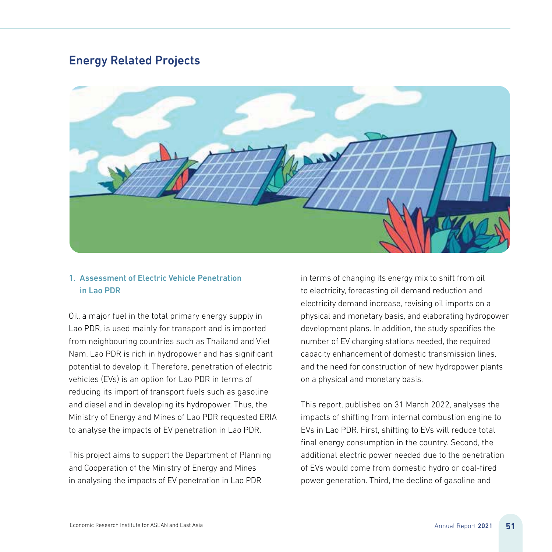# Energy Related Projects



#### 1. Assessment of Electric Vehicle Penetration in Lao PDR

Oil, a major fuel in the total primary energy supply in Lao PDR, is used mainly for transport and is imported from neighbouring countries such as Thailand and Viet Nam. Lao PDR is rich in hydropower and has significant potential to develop it. Therefore, penetration of electric vehicles (EVs) is an option for Lao PDR in terms of reducing its import of transport fuels such as gasoline and diesel and in developing its hydropower. Thus, the Ministry of Energy and Mines of Lao PDR requested ERIA to analyse the impacts of EV penetration in Lao PDR.

This project aims to support the Department of Planning and Cooperation of the Ministry of Energy and Mines in analysing the impacts of EV penetration in Lao PDR

in terms of changing its energy mix to shift from oil to electricity, forecasting oil demand reduction and electricity demand increase, revising oil imports on a physical and monetary basis, and elaborating hydropower development plans. In addition, the study specifies the number of EV charging stations needed, the required capacity enhancement of domestic transmission lines, and the need for construction of new hydropower plants on a physical and monetary basis.

This report, published on 31 March 2022, analyses the impacts of shifting from internal combustion engine to EVs in Lao PDR. First, shifting to EVs will reduce total final energy consumption in the country. Second, the additional electric power needed due to the penetration of EVs would come from domestic hydro or coal-fired power generation. Third, the decline of gasoline and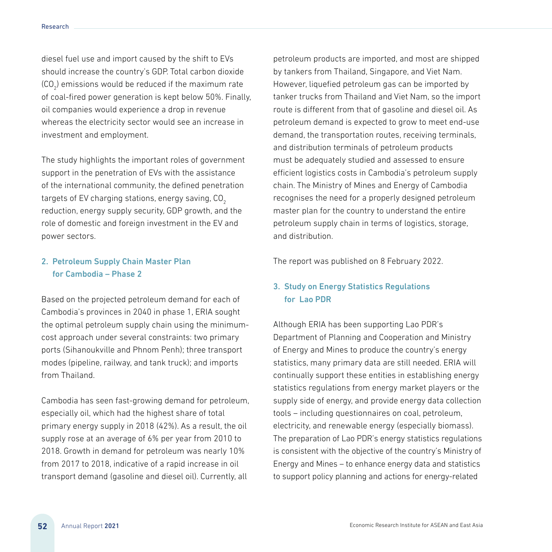diesel fuel use and import caused by the shift to EVs should increase the country's GDP. Total carbon dioxide (CO<sub>2</sub>) emissions would be reduced if the maximum rate of coal-fired power generation is kept below 50%. Finally, oil companies would experience a drop in revenue whereas the electricity sector would see an increase in investment and employment.

The study highlights the important roles of government support in the penetration of EVs with the assistance of the international community, the defined penetration targets of EV charging stations, energy saving, CO<sub>2</sub> reduction, energy supply security, GDP growth, and the role of domestic and foreign investment in the EV and power sectors.

#### 2. Petroleum Supply Chain Master Plan for Cambodia – Phase 2

Based on the projected petroleum demand for each of Cambodia's provinces in 2040 in phase 1, ERIA sought the optimal petroleum supply chain using the minimumcost approach under several constraints: two primary ports (Sihanoukville and Phnom Penh); three transport modes (pipeline, railway, and tank truck); and imports from Thailand.

Cambodia has seen fast-growing demand for petroleum, especially oil, which had the highest share of total primary energy supply in 2018 (42%). As a result, the oil supply rose at an average of 6% per year from 2010 to 2018. Growth in demand for petroleum was nearly 10% from 2017 to 2018, indicative of a rapid increase in oil transport demand (gasoline and diesel oil). Currently, all

petroleum products are imported, and most are shipped by tankers from Thailand, Singapore, and Viet Nam. However, liquefied petroleum gas can be imported by tanker trucks from Thailand and Viet Nam, so the import route is different from that of gasoline and diesel oil. As petroleum demand is expected to grow to meet end-use demand, the transportation routes, receiving terminals, and distribution terminals of petroleum products must be adequately studied and assessed to ensure efficient logistics costs in Cambodia's petroleum supply chain. The Ministry of Mines and Energy of Cambodia recognises the need for a properly designed petroleum master plan for the country to understand the entire petroleum supply chain in terms of logistics, storage, and distribution.

The report was published on 8 February 2022.

### 3. Study on Energy Statistics Regulations for Lao PDR

Although ERIA has been supporting Lao PDR's Department of Planning and Cooperation and Ministry of Energy and Mines to produce the country's energy statistics, many primary data are still needed. ERIA will continually support these entities in establishing energy statistics regulations from energy market players or the supply side of energy, and provide energy data collection tools – including questionnaires on coal, petroleum, electricity, and renewable energy (especially biomass). The preparation of Lao PDR's energy statistics regulations is consistent with the objective of the country's Ministry of Energy and Mines – to enhance energy data and statistics to support policy planning and actions for energy-related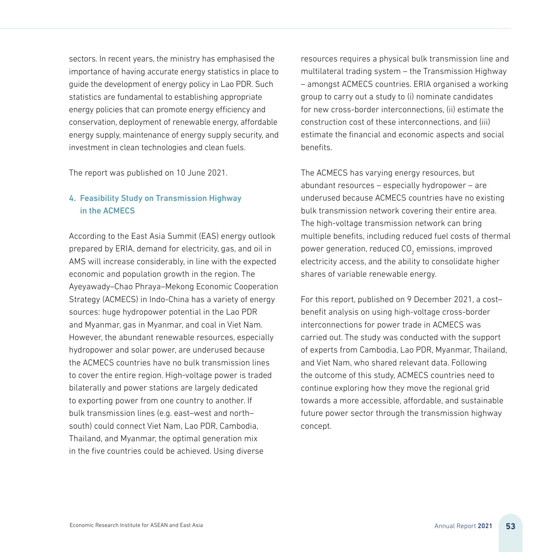sectors. In recent years, the ministry has emphasised the importance of having accurate energy statistics in place to guide the development of energy policy in Lao PDR. Such statistics are fundamental to establishing appropriate energy policies that can promote energy efficiency and conservation, deployment of renewable energy, affordable energy supply, maintenance of energy supply security, and investment in clean technologies and clean fuels.

The report was published on 10 June 2021.

## 4. Feasibility Study on Transmission Highway in the ACMECS

According to the East Asia Summit (EAS) energy outlook prepared by ERIA, demand for electricity, gas, and oil in AMS will increase considerably, in line with the expected economic and population growth in the region. The Ayeyawady–Chao Phraya–Mekong Economic Cooperation Strategy (ACMECS) in Indo-China has a variety of energy sources: huge hydropower potential in the Lao PDR and Myanmar, gas in Myanmar, and coal in Viet Nam. However, the abundant renewable resources, especially hydropower and solar power, are underused because the ACMECS countries have no bulk transmission lines to cover the entire region. High-voltage power is traded bilaterally and power stations are largely dedicated to exporting power from one country to another. If bulk transmission lines (e.g. east–west and north– south) could connect Viet Nam, Lao PDR, Cambodia, Thailand, and Myanmar, the optimal generation mix in the five countries could be achieved. Using diverse

resources requires a physical bulk transmission line and multilateral trading system – the Transmission Highway – amongst ACMECS countries. ERIA organised a working group to carry out a study to (i) nominate candidates for new cross-border interconnections, (ii) estimate the construction cost of these interconnections, and (iii) estimate the financial and economic aspects and social benefits.

The ACMECS has varying energy resources, but abundant resources – especially hydropower – are underused because ACMECS countries have no existing bulk transmission network covering their entire area. The high-voltage transmission network can bring multiple benefits, including reduced fuel costs of thermal power generation, reduced CO $_2$  emissions, improved electricity access, and the ability to consolidate higher shares of variable renewable energy.

For this report, published on 9 December 2021, a cost– benefit analysis on using high-voltage cross-border interconnections for power trade in ACMECS was carried out. The study was conducted with the support of experts from Cambodia, Lao PDR, Myanmar, Thailand, and Viet Nam, who shared relevant data. Following the outcome of this study, ACMECS countries need to continue exploring how they move the regional grid towards a more accessible, affordable, and sustainable future power sector through the transmission highway concept.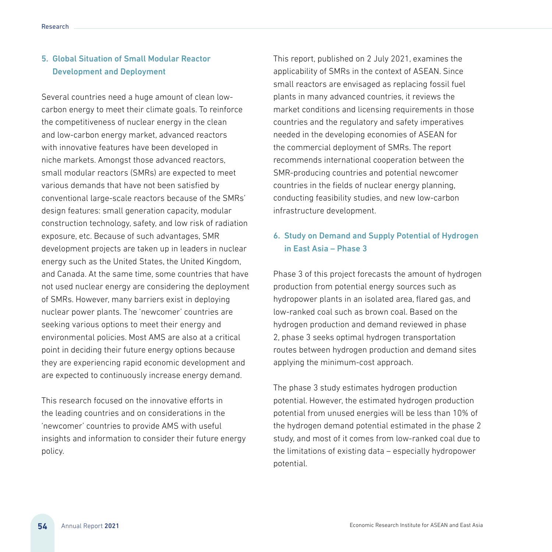### 5. Global Situation of Small Modular Reactor Development and Deployment

Several countries need a huge amount of clean lowcarbon energy to meet their climate goals. To reinforce the competitiveness of nuclear energy in the clean and low-carbon energy market, advanced reactors with innovative features have been developed in niche markets. Amongst those advanced reactors, small modular reactors (SMRs) are expected to meet various demands that have not been satisfied by conventional large-scale reactors because of the SMRs' design features: small generation capacity, modular construction technology, safety, and low risk of radiation exposure, etc. Because of such advantages, SMR development projects are taken up in leaders in nuclear energy such as the United States, the United Kingdom, and Canada. At the same time, some countries that have not used nuclear energy are considering the deployment of SMRs. However, many barriers exist in deploying nuclear power plants. The 'newcomer' countries are seeking various options to meet their energy and environmental policies. Most AMS are also at a critical point in deciding their future energy options because they are experiencing rapid economic development and are expected to continuously increase energy demand.

This research focused on the innovative efforts in the leading countries and on considerations in the 'newcomer' countries to provide AMS with useful insights and information to consider their future energy policy.

This report, published on 2 July 2021, examines the applicability of SMRs in the context of ASEAN. Since small reactors are envisaged as replacing fossil fuel plants in many advanced countries, it reviews the market conditions and licensing requirements in those countries and the regulatory and safety imperatives needed in the developing economies of ASEAN for the commercial deployment of SMRs. The report recommends international cooperation between the SMR-producing countries and potential newcomer countries in the fields of nuclear energy planning, conducting feasibility studies, and new low-carbon infrastructure development.

### 6. Study on Demand and Supply Potential of Hydrogen in East Asia – Phase 3

Phase 3 of this project forecasts the amount of hydrogen production from potential energy sources such as hydropower plants in an isolated area, flared gas, and low-ranked coal such as brown coal. Based on the hydrogen production and demand reviewed in phase 2, phase 3 seeks optimal hydrogen transportation routes between hydrogen production and demand sites applying the minimum-cost approach.

The phase 3 study estimates hydrogen production potential. However, the estimated hydrogen production potential from unused energies will be less than 10% of the hydrogen demand potential estimated in the phase 2 study, and most of it comes from low-ranked coal due to the limitations of existing data – especially hydropower potential.